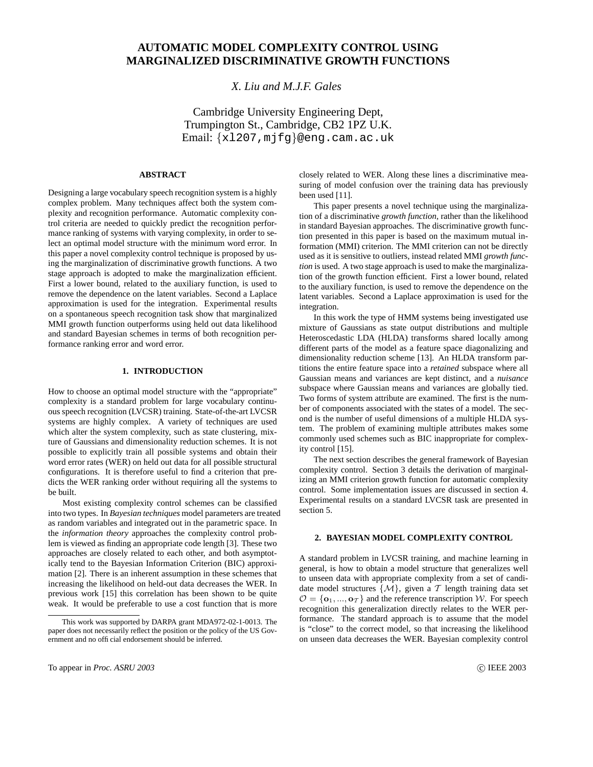# **AUTOMATIC MODEL COMPLEXITY CONTROL USING MARGINALIZED DISCRIMINATIVE GROWTH FUNCTIONS**

## *X. Liu and M.J.F. Gales*

Cambridge University Engineering Dept, Trumpington St., Cambridge, CB2 1PZ U.K. Email: {xl207,mjfg}@eng.cam.ac.uk

## **ABSTRACT**

Designing a large vocabulary speech recognition system is a highly complex problem. Many techniques affect both the system complexity and recognition performance. Automatic complexity control criteria are needed to quickly predict the recognition performance ranking of systems with varying complexity, in order to select an optimal model structure with the minimum word error. In this paper a novel complexity control technique is proposed by using the marginalization of discriminative growth functions. A two stage approach is adopted to make the marginalization efficient. First a lower bound, related to the auxiliary function, is used to remove the dependence on the latent variables. Second a Laplace approximation is used for the integration. Experimental results on a spontaneous speech recognition task show that marginalized MMI growth function outperforms using held out data likelihood and standard Bayesian schemes in terms of both recognition performance ranking error and word error.

## **1. INTRODUCTION**

How to choose an optimal model structure with the "appropriate" complexity is a standard problem for large vocabulary continuous speech recognition (LVCSR) training. State-of-the-art LVCSR systems are highly complex. A variety of techniques are used which alter the system complexity, such as state clustering, mixture of Gaussians and dimensionality reduction schemes. It is not possible to explicitly train all possible systems and obtain their word error rates (WER) on held out data for all possible structural configurations. It is therefore useful to find a criterion that predicts the WER ranking order without requiring all the systems to be built.

Most existing complexity control schemes can be classified into two types. In *Bayesian techniques* model parameters are treated as random variables and integrated out in the parametric space. In the *information theory* approaches the complexity control problem is viewed as finding an appropriate code length [3]. These two approaches are closely related to each other, and both asymptotically tend to the Bayesian Information Criterion (BIC) approximation [2]. There is an inherent assumption in these schemes that increasing the likelihood on held-out data decreases the WER. In previous work [15] this correlation has been shown to be quite weak. It would be preferable to use a cost function that is more

closely related to WER. Along these lines a discriminative measuring of model confusion over the training data has previously been used [11].

This paper presents a novel technique using the marginalization of a discriminative *growth function*, rather than the likelihood in standard Bayesian approaches. The discriminative growth function presented in this paper is based on the maximum mutual information (MMI) criterion. The MMI criterion can not be directly used as it is sensitive to outliers, instead related MMI *growth function* is used. A two stage approach is used to make the marginalization of the growth function efficient. First a lower bound, related to the auxiliary function, is used to remove the dependence on the latent variables. Second a Laplace approximation is used for the integration.

In this work the type of HMM systems being investigated use mixture of Gaussians as state output distributions and multiple Heteroscedastic LDA (HLDA) transforms shared locally among different parts of the model as a feature space diagonalizing and dimensionality reduction scheme [13]. An HLDA transform partitions the entire feature space into a *retained* subspace where all Gaussian means and variances are kept distinct, and a *nuisance* subspace where Gaussian means and variances are globally tied. Two forms of system attribute are examined. The first is the number of components associated with the states of a model. The second is the number of useful dimensions of a multiple HLDA system. The problem of examining multiple attributes makes some commonly used schemes such as BIC inappropriate for complexity control [15].

The next section describes the general framework of Bayesian complexity control. Section 3 details the derivation of marginalizing an MMI criterion growth function for automatic complexity control. Some implementation issues are discussed in section 4. Experimental results on a standard LVCSR task are presented in section 5.

## **2. BAYESIAN MODEL COMPLEXITY CONTROL**

A standard problem in LVCSR training, and machine learning in general, is how to obtain a model structure that generalizes well to unseen data with appropriate complexity from a set of candidate model structures  $\{M\}$ , given a T length training data set  $\mathcal{O} = {\{\mathbf{o}_1, ..., \mathbf{o}_T\}}$  and the reference transcription W. For speech recognition this generalization directly relates to the WER performance. The standard approach is to assume that the model is "close" to the correct model, so that increasing the likelihood on unseen data decreases the WER. Bayesian complexity control

This work was supported by DARPA grant MDA972-02-1-0013. The paper does not necessarily reflect the position or the policy of the US Government and no official endorsement should be inferred.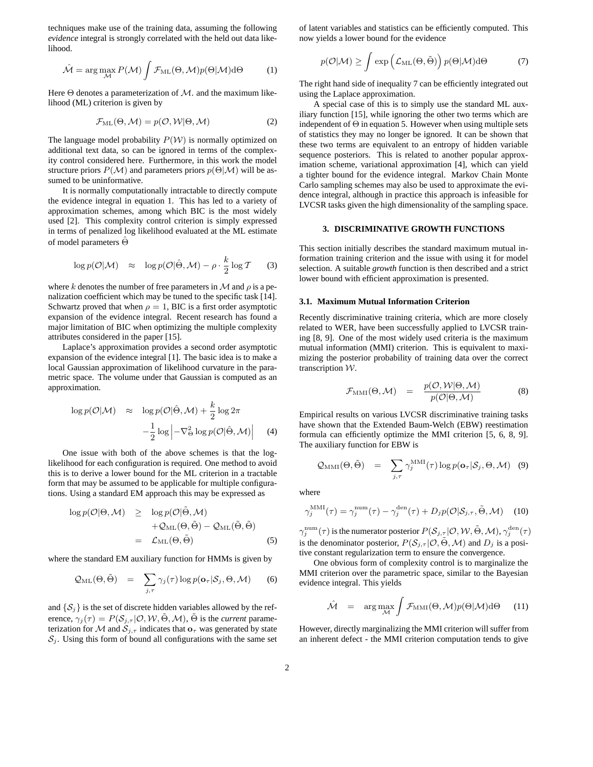techniques make use of the training data, assuming the following *evidence* integral is strongly correlated with the held out data likelihood.

$$
\hat{\mathcal{M}} = \arg\max_{\mathcal{M}} P(\mathcal{M}) \int \mathcal{F}_{\mathrm{ML}}(\Theta, \mathcal{M}) p(\Theta | \mathcal{M}) \mathrm{d}\Theta \tag{1}
$$

Here  $\Theta$  denotes a parameterization of  $\mathcal{M}$ . and the maximum likelihood (ML) criterion is given by

$$
\mathcal{F}_{\mathrm{ML}}(\Theta, \mathcal{M}) = p(\mathcal{O}, \mathcal{W}|\Theta, \mathcal{M}) \tag{2}
$$

The language model probability  $P(W)$  is normally optimized on additional text data, so can be ignored in terms of the complexity control considered here. Furthermore, in this work the model structure priors  $P(\mathcal{M})$  and parameters priors  $p(\Theta|\mathcal{M})$  will be assumed to be uninformative.

It is normally computationally intractable to directly compute the evidence integral in equation 1. This has led to a variety of approximation schemes, among which BIC is the most widely used [2]. This complexity control criterion is simply expressed in terms of penalized log likelihood evaluated at the ML estimate of model parameters Θˆ

$$
\log p(\mathcal{O}|\mathcal{M}) \approx \log p(\mathcal{O}|\hat{\Theta}, \mathcal{M}) - \rho \cdot \frac{k}{2} \log \mathcal{T} \qquad (3)
$$

where k denotes the number of free parameters in  $\mathcal M$  and  $\rho$  is a penalization coefficient which may be tuned to the specific task [14]. Schwartz proved that when  $\rho = 1$ , BIC is a first order asymptotic expansion of the evidence integral. Recent research has found a major limitation of BIC when optimizing the multiple complexity attributes considered in the paper [15].

Laplace's approximation provides a second order asymptotic expansion of the evidence integral [1]. The basic idea is to make a local Gaussian approximation of likelihood curvature in the parametric space. The volume under that Gaussian is computed as an approximation.

$$
\log p(\mathcal{O}|\mathcal{M}) \approx \log p(\mathcal{O}|\hat{\Theta}, \mathcal{M}) + \frac{k}{2} \log 2\pi
$$

$$
-\frac{1}{2} \log \left| -\nabla_{\Theta}^{2} \log p(\mathcal{O}|\hat{\Theta}, \mathcal{M}) \right| \quad (4)
$$

One issue with both of the above schemes is that the loglikelihood for each configuration is required. One method to avoid this is to derive a lower bound for the ML criterion in a tractable form that may be assumed to be applicable for multiple configurations. Using a standard EM approach this may be expressed as

$$
\log p(\mathcal{O}|\Theta, \mathcal{M}) \geq \log p(\mathcal{O}|\tilde{\Theta}, \mathcal{M}) \n+ \mathcal{Q}_{\text{ML}}(\Theta, \tilde{\Theta}) - \mathcal{Q}_{\text{ML}}(\tilde{\Theta}, \tilde{\Theta}) \n= \mathcal{L}_{\text{ML}}(\Theta, \tilde{\Theta})
$$
\n(5)

where the standard EM auxiliary function for HMMs is given by

$$
\mathcal{Q}_{\text{ML}}(\Theta, \tilde{\Theta}) = \sum_{j,\tau} \gamma_j(\tau) \log p(\mathbf{o}_{\tau} | \mathcal{S}_j, \Theta, \mathcal{M}) \qquad (6)
$$

and  $\{S_j\}$  is the set of discrete hidden variables allowed by the reference,  $\gamma_i(\tau) = P(S_{i,\tau} | O, W, \tilde{\Theta}, \mathcal{M})$ ,  $\tilde{\Theta}$  is the *current* parameterization for M and  $S_{j,\tau}$  indicates that  $\mathbf{o}_{\tau}$  was generated by state  $S_j$ . Using this form of bound all configurations with the same set of latent variables and statistics can be efficiently computed. This now yields a lower bound for the evidence

$$
p(\mathcal{O}|\mathcal{M}) \ge \int \exp\left(\mathcal{L}_{\mathrm{ML}}(\Theta, \tilde{\Theta})\right) p(\Theta|\mathcal{M}) d\Theta \tag{7}
$$

The right hand side of inequality 7 can be efficiently integrated out using the Laplace approximation.

A special case of this is to simply use the standard ML auxiliary function [15], while ignoring the other two terms which are independent of  $\Theta$  in equation 5. However when using multiple sets of statistics they may no longer be ignored. It can be shown that these two terms are equivalent to an entropy of hidden variable sequence posteriors. This is related to another popular approximation scheme, variational approximation [4], which can yield a tighter bound for the evidence integral. Markov Chain Monte Carlo sampling schemes may also be used to approximate the evidence integral, although in practice this approach is infeasible for LVCSR tasks given the high dimensionality of the sampling space.

## **3. DISCRIMINATIVE GROWTH FUNCTIONS**

This section initially describes the standard maximum mutual information training criterion and the issue with using it for model selection. A suitable *growth* function is then described and a strict lower bound with efficient approximation is presented.

## **3.1. Maximum Mutual Information Criterion**

Recently discriminative training criteria, which are more closely related to WER, have been successfully applied to LVCSR training [8, 9]. One of the most widely used criteria is the maximum mutual information (MMI) criterion. This is equivalent to maximizing the posterior probability of training data over the correct transcription W.

$$
\mathcal{F}_{\text{MMI}}(\Theta, \mathcal{M}) = \frac{p(\mathcal{O}, \mathcal{W}|\Theta, \mathcal{M})}{p(\mathcal{O}|\Theta, \mathcal{M})}
$$
(8)

Empirical results on various LVCSR discriminative training tasks have shown that the Extended Baum-Welch (EBW) reestimation formula can efficiently optimize the MMI criterion [5, 6, 8, 9]. The auxiliary function for EBW is

$$
Q_{\text{MMI}}(\Theta, \tilde{\Theta}) = \sum_{j,\tau} \gamma_j^{\text{MMI}}(\tau) \log p(\mathbf{o}_{\tau} | \mathcal{S}_j, \Theta, \mathcal{M}) \quad (9)
$$

where

$$
\gamma_j^{\text{MMI}}(\tau) = \gamma_j^{\text{num}}(\tau) - \gamma_j^{\text{den}}(\tau) + D_j p(\mathcal{O}|\mathcal{S}_{j,\tau}, \tilde{\Theta}, \mathcal{M}) \tag{10}
$$

 $\gamma_j^\text{num}(\tau)$  is the numerator posterior  $P(\mathcal{S}_{j,\tau}|\mathcal{O}, \mathcal{W}, \tilde{\Theta},\mathcal{M}), \gamma_j^\text{den}(\tau)$ is the denominator posterior,  $P(S_{j,\tau} | \mathcal{O}, \tilde{\Theta}, \mathcal{M})$  and  $D_j$  is a positive constant regularization term to ensure the convergence.

One obvious form of complexity control is to marginalize the MMI criterion over the parametric space, similar to the Bayesian evidence integral. This yields

$$
\hat{\mathcal{M}} = \arg \max_{\mathcal{M}} \int \mathcal{F}_{\text{MMI}}(\Theta, \mathcal{M}) p(\Theta | \mathcal{M}) d\Theta \qquad (11)
$$

However, directly marginalizing the MMI criterion will suffer from an inherent defect - the MMI criterion computation tends to give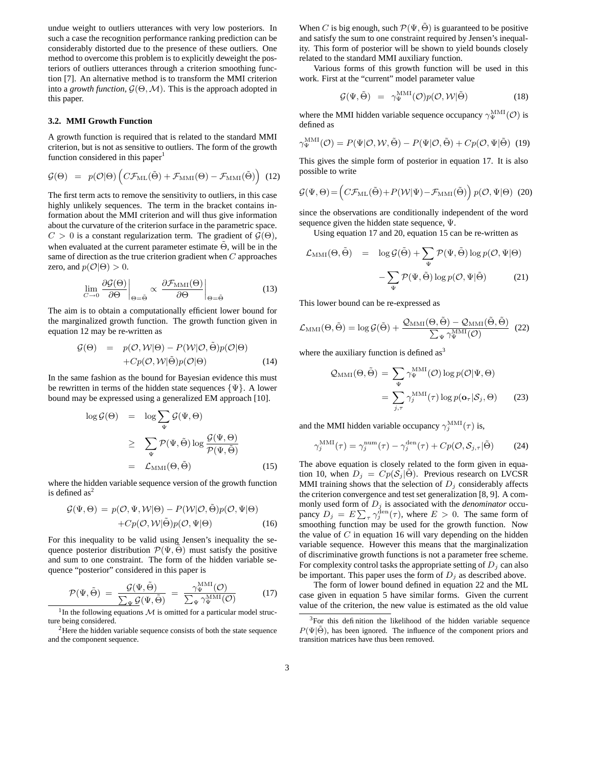undue weight to outliers utterances with very low posteriors. In such a case the recognition performance ranking prediction can be considerably distorted due to the presence of these outliers. One method to overcome this problem is to explicitly deweight the posteriors of outliers utterances through a criterion smoothing function [7]. An alternative method is to transform the MMI criterion into a *growth function*,  $G(\Theta, \mathcal{M})$ . This is the approach adopted in this paper.

## **3.2. MMI Growth Function**

A growth function is required that is related to the standard MMI criterion, but is not as sensitive to outliers. The form of the growth function considered in this paper<sup>1</sup>

$$
\mathcal{G}(\Theta) = p(\mathcal{O}|\Theta) \left( C \mathcal{F}_{\text{ML}}(\tilde{\Theta}) + \mathcal{F}_{\text{MMI}}(\Theta) - \mathcal{F}_{\text{MMI}}(\tilde{\Theta}) \right) (12)
$$

The first term acts to remove the sensitivity to outliers, in this case highly unlikely sequences. The term in the bracket contains information about the MMI criterion and will thus give information about the curvature of the criterion surface in the parametric space.  $C > 0$  is a constant regularization term. The gradient of  $\mathcal{G}(\Theta)$ , when evaluated at the current parameter estimate  $\Theta$ , will be in the same of direction as the true criterion gradient when C approaches zero, and  $p(\mathcal{O}|\Theta) > 0$ .

$$
\lim_{C \to 0} \frac{\partial \mathcal{G}(\Theta)}{\partial \Theta} \bigg|_{\Theta = \tilde{\Theta}} \propto \frac{\partial \mathcal{F}_{\text{MMI}}(\Theta)}{\partial \Theta} \bigg|_{\Theta = \tilde{\Theta}} \tag{13}
$$

The aim is to obtain a computationally efficient lower bound for the marginalized growth function. The growth function given in equation 12 may be re-written as

$$
\mathcal{G}(\Theta) = p(\mathcal{O}, \mathcal{W}|\Theta) - P(\mathcal{W}|\mathcal{O}, \tilde{\Theta})p(\mathcal{O}|\Theta) \n+ Cp(\mathcal{O}, \mathcal{W}|\tilde{\Theta})p(\mathcal{O}|\Theta)
$$
\n(14)

In the same fashion as the bound for Bayesian evidence this must be rewritten in terms of the hidden state sequences  $\{\Psi\}$ . A lower bound may be expressed using a generalized EM approach [10].

$$
\log \mathcal{G}(\Theta) = \log \sum_{\Psi} \mathcal{G}(\Psi, \Theta)
$$
  
\n
$$
\geq \sum_{\Psi} \mathcal{P}(\Psi, \tilde{\Theta}) \log \frac{\mathcal{G}(\Psi, \Theta)}{\mathcal{P}(\Psi, \tilde{\Theta})}
$$
  
\n
$$
= \mathcal{L}_{\text{MMI}}(\Theta, \tilde{\Theta})
$$
(15)

where the hidden variable sequence version of the growth function is defined  $as<sup>2</sup>$ 

$$
\mathcal{G}(\Psi,\Theta) = p(\mathcal{O},\Psi,\mathcal{W}|\Theta) - P(\mathcal{W}|\mathcal{O},\tilde{\Theta})p(\mathcal{O},\Psi|\Theta) + Cp(\mathcal{O},\mathcal{W}|\tilde{\Theta})p(\mathcal{O},\Psi|\Theta)
$$
(16)

For this inequality to be valid using Jensen's inequality the sequence posterior distribution  $\mathcal{P}(\Psi, \Theta)$  must satisfy the positive and sum to one constraint. The form of the hidden variable sequence "posterior" considered in this paper is

$$
\mathcal{P}(\Psi, \tilde{\Theta}) = \frac{\mathcal{G}(\Psi, \tilde{\Theta})}{\sum_{\Psi} \mathcal{G}(\Psi, \tilde{\Theta})} = \frac{\gamma_{\Psi}^{\text{MMI}}(\mathcal{O})}{\sum_{\Psi} \gamma_{\Psi}^{\text{MMI}}(\mathcal{O})}
$$
(17)

<sup>1</sup>In the following equations  $M$  is omitted for a particular model structure being considered.

When C is big enough, such  $\mathcal{P}(\Psi, \tilde{\Theta})$  is guaranteed to be positive and satisfy the sum to one constraint required by Jensen's inequality. This form of posterior will be shown to yield bounds closely related to the standard MMI auxiliary function.

Various forms of this growth function will be used in this work. First at the "current" model parameter value

$$
\mathcal{G}(\Psi, \tilde{\Theta}) = \gamma_{\Psi}^{\text{MMI}}(\mathcal{O}) p(\mathcal{O}, \mathcal{W} | \tilde{\Theta}) \tag{18}
$$

where the MMI hidden variable sequence occupancy  $\gamma_\Psi^{\rm MMI}(\mathcal{O})$  is defined as

$$
\gamma_{\Psi}^{\text{MMI}}(\mathcal{O}) = P(\Psi|\mathcal{O}, \mathcal{W}, \tilde{\Theta}) - P(\Psi|\mathcal{O}, \tilde{\Theta}) + Cp(\mathcal{O}, \Psi|\tilde{\Theta}) \tag{19}
$$

This gives the simple form of posterior in equation 17. It is also possible to write

$$
\mathcal{G}(\Psi,\Theta) = \left(C\mathcal{F}_{\mathrm{ML}}(\tilde{\Theta}) + P(\mathcal{W}|\Psi) - \mathcal{F}_{\mathrm{MMI}}(\tilde{\Theta})\right) p(\mathcal{O},\Psi|\Theta)
$$
 (20)

since the observations are conditionally independent of the word sequence given the hidden state sequence, Ψ.

Using equation 17 and 20, equation 15 can be re-written as

$$
\mathcal{L}_{\text{MMI}}(\Theta, \tilde{\Theta}) = \log \mathcal{G}(\tilde{\Theta}) + \sum_{\Psi} \mathcal{P}(\Psi, \tilde{\Theta}) \log p(\mathcal{O}, \Psi | \Theta) \n- \sum_{\Psi} \mathcal{P}(\Psi, \tilde{\Theta}) \log p(\mathcal{O}, \Psi | \tilde{\Theta})
$$
\n(21)

This lower bound can be re-expressed as

$$
\mathcal{L}_{\text{MMI}}(\Theta, \tilde{\Theta}) = \log \mathcal{G}(\tilde{\Theta}) + \frac{\mathcal{Q}_{\text{MMI}}(\Theta, \tilde{\Theta}) - \mathcal{Q}_{\text{MMI}}(\tilde{\Theta}, \tilde{\Theta})}{\sum_{\Psi} \gamma_{\Psi}^{\text{MMI}}(\mathcal{O})} (22)
$$

where the auxiliary function is defined  $as<sup>3</sup>$ 

$$
\mathcal{Q}_{\text{MMI}}(\Theta, \tilde{\Theta}) = \sum_{\Psi} \gamma_{\Psi}^{\text{MMI}}(\mathcal{O}) \log p(\mathcal{O}|\Psi, \Theta)
$$

$$
= \sum_{j,\tau} \gamma_{j}^{\text{MMI}}(\tau) \log p(\mathbf{o}_{\tau}|\mathcal{S}_{j}, \Theta) \qquad (23)
$$

and the MMI hidden variable occupancy  $\gamma_j^{\text{MMI}}(\tau)$  is,

$$
\gamma_j^{\text{MMI}}(\tau) = \gamma_j^{\text{num}}(\tau) - \gamma_j^{\text{den}}(\tau) + Cp(\mathcal{O}, \mathcal{S}_{j,\tau}|\tilde{\Theta}) \tag{24}
$$

The above equation is closely related to the form given in equation 10, when  $D_j = Cp(\mathcal{S}_j | \Theta)$ . Previous research on LVCSR MMI training shows that the selection of  $D_j$  considerably affects the criterion convergence and test set generalization [8, 9]. A commonly used form of  $D_j$  is associated with the *denominator* occupancy  $D_j = E \sum_{\tau} \gamma_j^{\text{den}}(\tau)$ , where  $E > 0$ . The same form of smoothing function may be used for the growth function. Now the value of  $C$  in equation 16 will vary depending on the hidden variable sequence. However this means that the marginalization of discriminative growth functions is not a parameter free scheme. For complexity control tasks the appropriate setting of  $D_j$  can also be important. This paper uses the form of  $D_i$  as described above.

The form of lower bound defined in equation 22 and the ML case given in equation 5 have similar forms. Given the current value of the criterion, the new value is estimated as the old value

<sup>&</sup>lt;sup>2</sup>Here the hidden variable sequence consists of both the state sequence and the component sequence.

<sup>&</sup>lt;sup>3</sup>For this definition the likelihood of the hidden variable sequence  $P(\Psi|\Theta)$ , has been ignored. The influence of the component priors and transition matrices have thus been removed.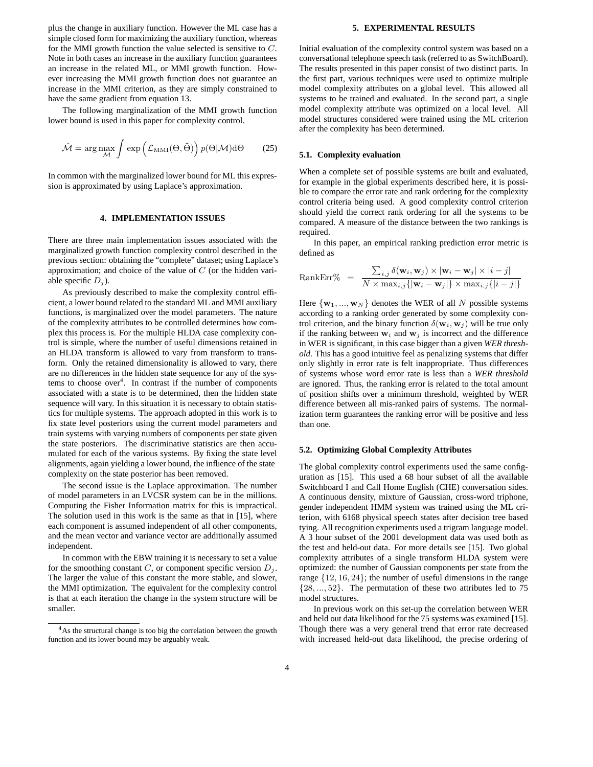plus the change in auxiliary function. However the ML case has a simple closed form for maximizing the auxiliary function, whereas for the MMI growth function the value selected is sensitive to C. Note in both cases an increase in the auxiliary function guarantees an increase in the related ML, or MMI growth function. However increasing the MMI growth function does not guarantee an increase in the MMI criterion, as they are simply constrained to have the same gradient from equation 13.

The following marginalization of the MMI growth function lower bound is used in this paper for complexity control.

$$
\hat{\mathcal{M}} = \arg \max_{\mathcal{M}} \int \exp \left( \mathcal{L}_{\text{MMI}}(\Theta, \tilde{\Theta}) \right) p(\Theta | \mathcal{M}) d\Theta \tag{25}
$$

In common with the marginalized lower bound for ML this expression is approximated by using Laplace's approximation.

## **4. IMPLEMENTATION ISSUES**

There are three main implementation issues associated with the marginalized growth function complexity control described in the previous section: obtaining the "complete" dataset; using Laplace's approximation; and choice of the value of  $C$  (or the hidden variable specific  $D_i$ ).

As previously described to make the complexity control efficient, a lower bound related to the standard ML and MMI auxiliary functions, is marginalized over the model parameters. The nature of the complexity attributes to be controlled determines how complex this process is. For the multiple HLDA case complexity control is simple, where the number of useful dimensions retained in an HLDA transform is allowed to vary from transform to transform. Only the retained dimensionality is allowed to vary, there are no differences in the hidden state sequence for any of the systems to choose over<sup>4</sup>. In contrast if the number of components associated with a state is to be determined, then the hidden state sequence will vary. In this situation it is necessary to obtain statistics for multiple systems. The approach adopted in this work is to fix state level posteriors using the current model parameters and train systems with varying numbers of components per state given the state posteriors. The discriminative statistics are then accumulated for each of the various systems. By fixing the state level alignments, again yielding a lower bound, the influence of the state complexity on the state posterior has been removed.

The second issue is the Laplace approximation. The number of model parameters in an LVCSR system can be in the millions. Computing the Fisher Information matrix for this is impractical. The solution used in this work is the same as that in [15], where each component is assumed independent of all other components, and the mean vector and variance vector are additionally assumed independent.

In common with the EBW training it is necessary to set a value for the smoothing constant  $C$ , or component specific version  $D_j$ . The larger the value of this constant the more stable, and slower, the MMI optimization. The equivalent for the complexity control is that at each iteration the change in the system structure will be smaller.

#### **5. EXPERIMENTAL RESULTS**

Initial evaluation of the complexity control system was based on a conversational telephone speech task (referred to as SwitchBoard). The results presented in this paper consist of two distinct parts. In the first part, various techniques were used to optimize multiple model complexity attributes on a global level. This allowed all systems to be trained and evaluated. In the second part, a single model complexity attribute was optimized on a local level. All model structures considered were trained using the ML criterion after the complexity has been determined.

## **5.1. Complexity evaluation**

When a complete set of possible systems are built and evaluated, for example in the global experiments described here, it is possible to compare the error rate and rank ordering for the complexity control criteria being used. A good complexity control criterion should yield the correct rank ordering for all the systems to be compared. A measure of the distance between the two rankings is required.

In this paper, an empirical ranking prediction error metric is defined as

$$
\text{RankErr\%} = \frac{\sum_{i,j} \delta(\mathbf{w}_i, \mathbf{w}_j) \times |\mathbf{w}_i - \mathbf{w}_j| \times |i - j|}{N \times \max_{i,j} \{|\mathbf{w}_i - \mathbf{w}_j|\} \times \max_{i,j} \{ |i - j| \}}
$$

Here  $\{w_1, ..., w_N\}$  denotes the WER of all N possible systems according to a ranking order generated by some complexity control criterion, and the binary function  $\delta(\mathbf{w}_i, \mathbf{w}_j)$  will be true only if the ranking between  $w_i$  and  $w_j$  is incorrect and the difference in WER is significant, in this case bigger than a given *WER threshold*. This has a good intuitive feel as penalizing systems that differ only slightly in error rate is felt inappropriate. Thus differences of systems whose word error rate is less than a *WER threshold* are ignored. Thus, the ranking error is related to the total amount of position shifts over a minimum threshold, weighted by WER difference between all mis-ranked pairs of systems. The normalization term guarantees the ranking error will be positive and less than one.

## **5.2. Optimizing Global Complexity Attributes**

The global complexity control experiments used the same configuration as [15]. This used a 68 hour subset of all the available Switchboard I and Call Home English (CHE) conversation sides. A continuous density, mixture of Gaussian, cross-word triphone, gender independent HMM system was trained using the ML criterion, with 6168 physical speech states after decision tree based tying. All recognition experiments used a trigram language model. A 3 hour subset of the 2001 development data was used both as the test and held-out data. For more details see [15]. Two global complexity attributes of a single transform HLDA system were optimized: the number of Gaussian components per state from the range {12, 16, 24}; the number of useful dimensions in the range {28, ..., 52}. The permutation of these two attributes led to 75 model structures.

In previous work on this set-up the correlation between WER and held out data likelihood for the 75 systems was examined [15]. Though there was a very general trend that error rate decreased with increased held-out data likelihood, the precise ordering of

<sup>&</sup>lt;sup>4</sup>As the structural change is too big the correlation between the growth function and its lower bound may be arguably weak.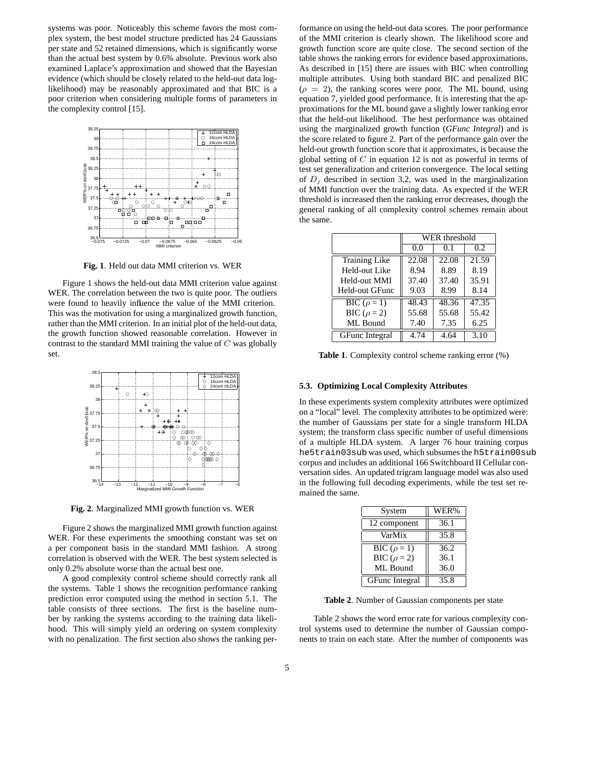systems was poor. Noticeably this scheme favors the most complex system, the best model structure predicted has 24 Gaussians per state and 52 retained dimensions, which is significantly worse than the actual best system by 0.6% absolute. Previous work also examined Laplace's approximation and showed that the Bayesian evidence (which should be closely related to the held-out data loglikelihood) may be reasonably approximated and that BIC is a poor criterion when considering multiple forms of parameters in the complexity control [15].



**Fig. 1**. Held out data MMI criterion vs. WER

Figure 1 shows the held-out data MMI criterion value against WER. The correlation between the two is quite poor. The outliers were found to heavily influence the value of the MMI criterion. This was the motivation for using a marginalized growth function, rather than the MMI criterion. In an initial plot of the held-out data, the growth function showed reasonable correlation. However in contrast to the standard MMI training the value of  $C$  was globally set.



**Fig. 2**. Marginalized MMI growth function vs. WER

Figure 2 shows the marginalized MMI growth function against WER. For these experiments the smoothing constant was set on a per component basis in the standard MMI fashion. A strong correlation is observed with the WER. The best system selected is only 0.2% absolute worse than the actual best one.

A good complexity control scheme should correctly rank all the systems. Table 1 shows the recognition performance ranking prediction error computed using the method in section 5.1. The table consists of three sections. The first is the baseline number by ranking the systems according to the training data likelihood. This will simply yield an ordering on system complexity with no penalization. The first section also shows the ranking performance on using the held-out data scores. The poor performance of the MMI criterion is clearly shown. The likelihood score and growth function score are quite close. The second section of the table shows the ranking errors for evidence based approximations. As described in [15] there are issues with BIC when controlling multiple attributes. Using both standard BIC and penalized BIC  $(\rho = 2)$ , the ranking scores were poor. The ML bound, using equation 7, yielded good performance. It is interesting that the approximations for the ML bound gave a slightly lower ranking error that the held-out likelihood. The best performance was obtained using the marginalized growth function (*GFunc Integral*) and is the score related to figure 2. Part of the performance gain over the held-out growth function score that it approximates, is because the global setting of  $C$  in equation 12 is not as powerful in terms of test set generalization and criterion convergence. The local setting of  $D_i$  described in section 3.2, was used in the marginalization of MMI function over the training data. As expected if the WER threshold is increased then the ranking error decreases, though the general ranking of all complexity control schemes remain about the same.

|                       | WER threshold |       |       |  |
|-----------------------|---------------|-------|-------|--|
|                       | 0.0           |       | 0.2   |  |
| <b>Training Like</b>  | 22.08         | 22.08 | 21.59 |  |
| Held-out Like         | 8.94          | 8.89  | 8.19  |  |
| Held-out MMI          | 37.40         | 37.40 | 35.91 |  |
| <b>Held-out GFunc</b> | 9.03          | 8.99  | 8.14  |  |
| BIC ( $\rho = 1$ )    | 48.43         | 48.36 | 47.35 |  |
| BIC ( $\rho = 2$ )    | 55.68         | 55.68 | 55.42 |  |
| ML Bound              | 7.40          | 7.35  | 6.25  |  |
| <b>GFunc</b> Integral | 4.74          | 4 64  | 3.10  |  |

**Table 1**. Complexity control scheme ranking error (%)

#### **5.3. Optimizing Local Complexity Attributes**

In these experiments system complexity attributes were optimized on a "local" level. The complexity attributes to be optimized were: the number of Gaussians per state for a single transform HLDA system; the transform class specific number of useful dimensions of a multiple HLDA system. A larger 76 hour training corpus he5train03sub was used, which subsumes the h5train00sub corpus and includes an additional 166 Switchboard II Cellular conversation sides. An updated trigram language model was also used in the following full decoding experiments, while the test set remained the same.

| System                | WER% |  |  |
|-----------------------|------|--|--|
| 12 component          | 36.1 |  |  |
| VarMix                | 35.8 |  |  |
| BIC ( $\rho = 1$ )    | 36.2 |  |  |
| BIC ( $\rho = 2$ )    | 36.1 |  |  |
| ML Bound              | 36.0 |  |  |
| <b>GFunc</b> Integral | 35.8 |  |  |

**Table 2**. Number of Gaussian components per state

Table 2 shows the word error rate for various complexity control systems used to determine the number of Gaussian components to train on each state. After the number of components was